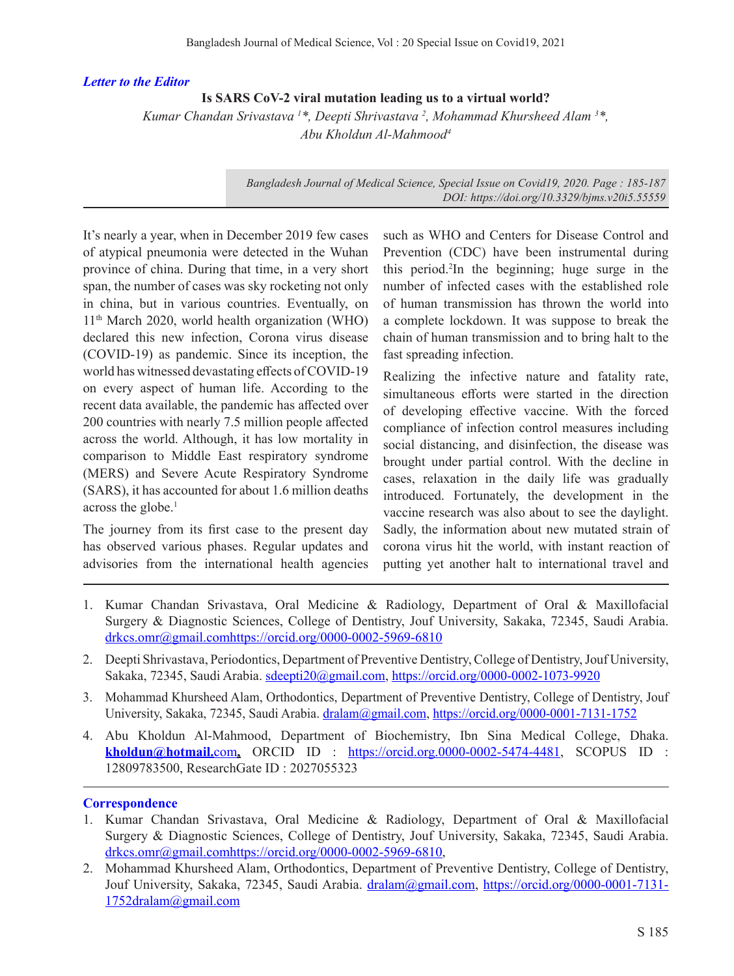## *Letter to the Editor*

## **Is SARS CoV-2 viral mutation leading us to a virtual world?**

*Kumar Chandan Srivastava <sup>1</sup> \*, Deepti Shrivastava <sup>2</sup> , Mohammad Khursheed Alam <sup>3</sup> \*, Abu Kholdun Al-Mahmood4*

> *Bangladesh Journal of Medical Science, Special Issue on Covid19, 2020. Page: 185-187 DOI: https://doi.org/10.3329/bjms.v20i5.55559*

It's nearly a year, when in December 2019 few cases of atypical pneumonia were detected in the Wuhan province of china. During that time, in a very short span, the number of cases was sky rocketing not only in china, but in various countries. Eventually, on 11th March 2020, world health organization (WHO) declared this new infection, Corona virus disease (COVID-19) as pandemic. Since its inception, the world has witnessed devastating effects of COVID-19 on every aspect of human life. According to the recent data available, the pandemic has affected over 200 countries with nearly 7.5 million people affected across the world. Although, it has low mortality in comparison to Middle East respiratory syndrome (MERS) and Severe Acute Respiratory Syndrome (SARS), it has accounted for about 1.6 million deaths across the globe.<sup>1</sup>

The journey from its first case to the present day has observed various phases. Regular updates and advisories from the international health agencies such as WHO and Centers for Disease Control and Prevention (CDC) have been instrumental during this period.2 In the beginning; huge surge in the number of infected cases with the established role of human transmission has thrown the world into a complete lockdown. It was suppose to break the chain of human transmission and to bring halt to the fast spreading infection.

Realizing the infective nature and fatality rate, simultaneous efforts were started in the direction of developing effective vaccine. With the forced compliance of infection control measures including social distancing, and disinfection, the disease was brought under partial control. With the decline in cases, relaxation in the daily life was gradually introduced. Fortunately, the development in the vaccine research was also about to see the daylight. Sadly, the information about new mutated strain of corona virus hit the world, with instant reaction of putting yet another halt to international travel and

- 1. Kumar Chandan Srivastava, Oral Medicine & Radiology, Department of Oral & Maxillofacial Surgery & Diagnostic Sciences, College of Dentistry, Jouf University, Sakaka, 72345, Saudi Arabia. drkcs.omr@gmail.comhttps://orcid.org/0000-0002-5969-6810
- 2. Deepti Shrivastava, Periodontics, Department of Preventive Dentistry, College of Dentistry, Jouf University, Sakaka, 72345, Saudi Arabia. sdeepti20@gmail.com, https://orcid.org/0000-0002-1073-9920
- 3. Mohammad Khursheed Alam, Orthodontics, Department of Preventive Dentistry, College of Dentistry, Jouf University, Sakaka, 72345, Saudi Arabia. dralam@gmail.com, https://orcid.org/0000-0001-7131-1752
- 4. Abu Kholdun Al-Mahmood, Department of Biochemistry, Ibn Sina Medical College, Dhaka. **kholdun@hotmail.**com**,** ORCID ID : https://orcid.org.0000-0002-5474-4481, SCOPUS ID : 12809783500, ResearchGate ID : 2027055323

## **Correspondence**

- 1. Kumar Chandan Srivastava, Oral Medicine & Radiology, Department of Oral & Maxillofacial Surgery & Diagnostic Sciences, College of Dentistry, Jouf University, Sakaka, 72345, Saudi Arabia. drkcs.omr@gmail.comhttps://orcid.org/0000-0002-5969-6810,
- 2. Mohammad Khursheed Alam, Orthodontics, Department of Preventive Dentistry, College of Dentistry, Jouf University, Sakaka, 72345, Saudi Arabia. dralam@gmail.com, https://orcid.org/0000-0001-7131- 1752dralam@gmail.com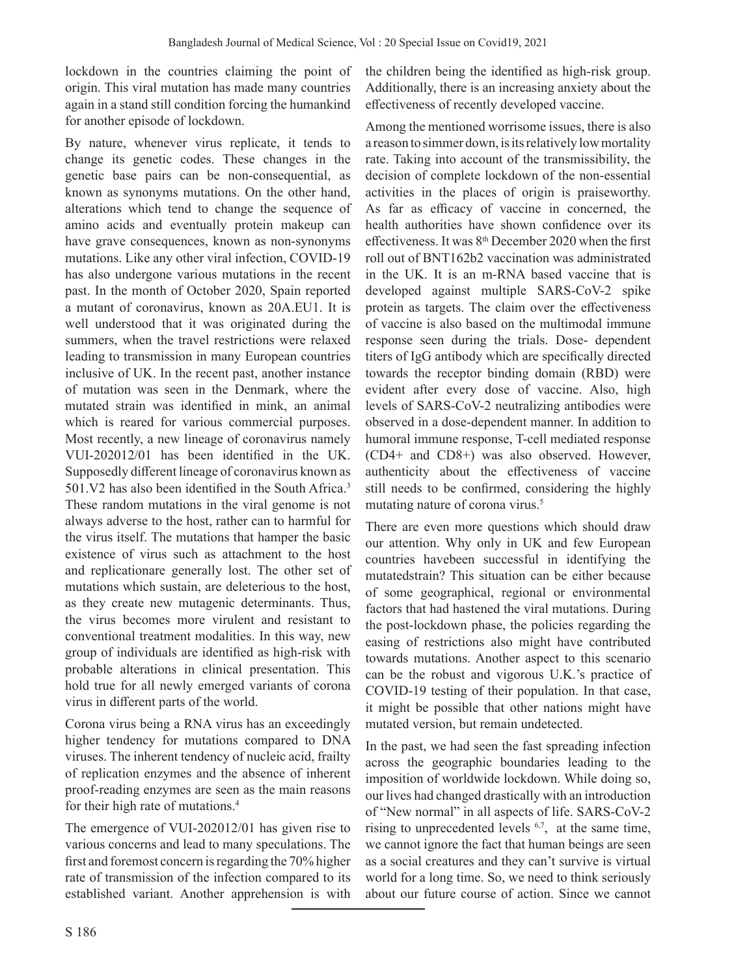lockdown in the countries claiming the point of origin. This viral mutation has made many countries again in a stand still condition forcing the humankind for another episode of lockdown.

By nature, whenever virus replicate, it tends to change its genetic codes. These changes in the genetic base pairs can be non-consequential, as known as synonyms mutations. On the other hand, alterations which tend to change the sequence of amino acids and eventually protein makeup can have grave consequences, known as non-synonyms mutations. Like any other viral infection, COVID-19 has also undergone various mutations in the recent past. In the month of October 2020, Spain reported a mutant of coronavirus, known as 20A.EU1. It is well understood that it was originated during the summers, when the travel restrictions were relaxed leading to transmission in many European countries inclusive of UK. In the recent past, another instance of mutation was seen in the Denmark, where the mutated strain was identified in mink, an animal which is reared for various commercial purposes. Most recently, a new lineage of coronavirus namely VUI-202012/01 has been identified in the UK. Supposedly different lineage of coronavirus known as 501.V2 has also been identified in the South Africa.<sup>3</sup> These random mutations in the viral genome is not always adverse to the host, rather can to harmful for the virus itself. The mutations that hamper the basic existence of virus such as attachment to the host and replicationare generally lost. The other set of mutations which sustain, are deleterious to the host, as they create new mutagenic determinants. Thus, the virus becomes more virulent and resistant to conventional treatment modalities. In this way, new group of individuals are identified as high-risk with probable alterations in clinical presentation. This hold true for all newly emerged variants of corona virus in different parts of the world.

Corona virus being a RNA virus has an exceedingly higher tendency for mutations compared to DNA viruses. The inherent tendency of nucleic acid, frailty of replication enzymes and the absence of inherent proof-reading enzymes are seen as the main reasons for their high rate of mutations.4

The emergence of VUI-202012/01 has given rise to various concerns and lead to many speculations. The first and foremost concern is regarding the 70% higher rate of transmission of the infection compared to its established variant. Another apprehension is with

the children being the identified as high-risk group. Additionally, there is an increasing anxiety about the effectiveness of recently developed vaccine.

Among the mentioned worrisome issues, there is also a reason to simmer down, is its relatively low mortality rate. Taking into account of the transmissibility, the decision of complete lockdown of the non-essential activities in the places of origin is praiseworthy. As far as efficacy of vaccine in concerned, the health authorities have shown confidence over its effectiveness. It was  $8<sup>th</sup>$  December 2020 when the first roll out of BNT162b2 vaccination was administrated in the UK. It is an m-RNA based vaccine that is developed against multiple SARS-CoV-2 spike protein as targets. The claim over the effectiveness of vaccine is also based on the multimodal immune response seen during the trials. Dose- dependent titers of IgG antibody which are specifically directed towards the receptor binding domain (RBD) were evident after every dose of vaccine. Also, high levels of SARS-CoV-2 neutralizing antibodies were observed in a dose-dependent manner. In addition to humoral immune response, T-cell mediated response (CD4+ and CD8+) was also observed. However, authenticity about the effectiveness of vaccine still needs to be confirmed, considering the highly mutating nature of corona virus.<sup>5</sup>

There are even more questions which should draw our attention. Why only in UK and few European countries havebeen successful in identifying the mutatedstrain? This situation can be either because of some geographical, regional or environmental factors that had hastened the viral mutations. During the post-lockdown phase, the policies regarding the easing of restrictions also might have contributed towards mutations. Another aspect to this scenario can be the robust and vigorous U.K.'s practice of COVID-19 testing of their population. In that case, it might be possible that other nations might have mutated version, but remain undetected.

In the past, we had seen the fast spreading infection across the geographic boundaries leading to the imposition of worldwide lockdown. While doing so, our lives had changed drastically with an introduction of "New normal" in all aspects of life. SARS-CoV-2 rising to unprecedented levels 6,7, at the same time, we cannot ignore the fact that human beings are seen as a social creatures and they can't survive is virtual world for a long time. So, we need to think seriously about our future course of action. Since we cannot